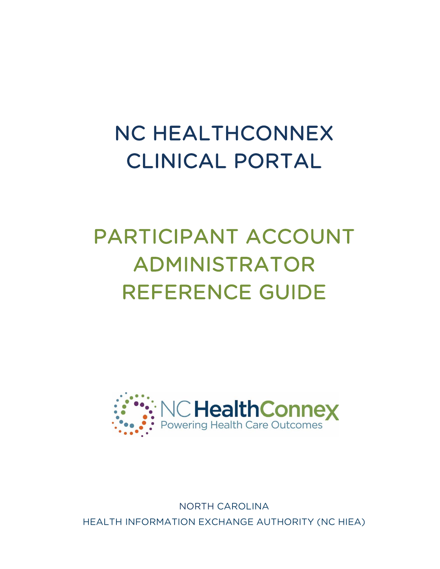# NC HEALTHCONNEX CLINICAL PORTAL

# PARTICIPANT ACCOUNT ADMINISTRATOR REFERENCE GUIDE



NORTH CAROLINA HEALTH INFORMATION EXCHANGE AUTHORITY (NC HIEA)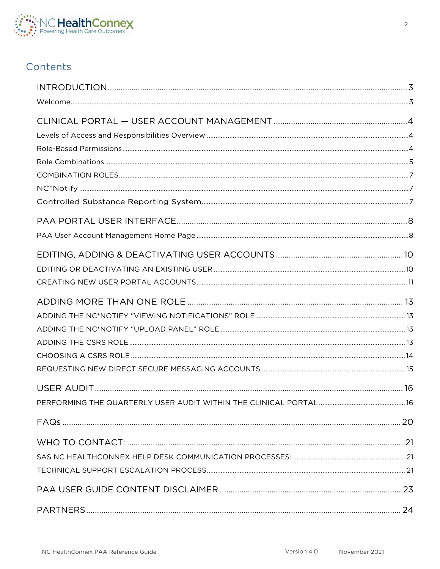

# Contents

| PERFORMING THE QUARTERLY USER AUDIT WITHIN THE CLINICAL PORTAL | -16 |
|----------------------------------------------------------------|-----|
|                                                                |     |
|                                                                |     |
|                                                                |     |
|                                                                |     |
|                                                                |     |
|                                                                |     |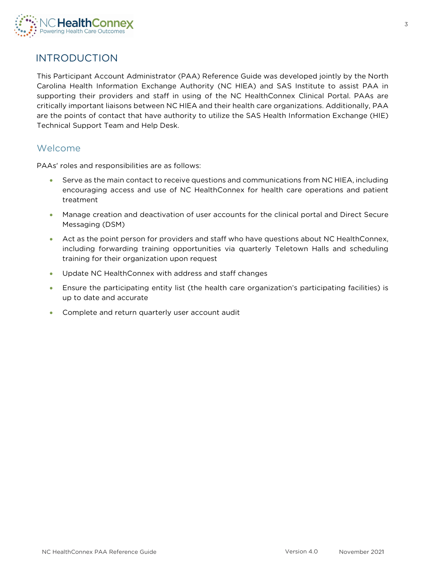

# <span id="page-2-0"></span>INTRODUCTION

This Participant Account Administrator (PAA) Reference Guide was developed jointly by the North Carolina Health Information Exchange Authority (NC HIEA) and SAS Institute to assist PAA in supporting their providers and staff in using of the NC HealthConnex Clinical Portal. PAAs are critically important liaisons between NC HIEA and their health care organizations. Additionally, PAA are the points of contact that have authority to utilize the SAS Health Information Exchange (HIE) Technical Support Team and Help Desk.

### <span id="page-2-1"></span>Welcome

PAAs' roles and responsibilities are as follows:

- Serve as the main contact to receive questions and communications from NC HIEA, including encouraging access and use of NC HealthConnex for health care operations and patient treatment
- Manage creation and deactivation of user accounts for the clinical portal and Direct Secure Messaging (DSM)
- Act as the point person for providers and staff who have questions about NC HealthConnex, including forwarding training opportunities via quarterly Teletown Halls and scheduling training for their organization upon request
- Update NC HealthConnex with address and staff changes
- Ensure the participating entity list (the health care organization's participating facilities) is up to date and accurate
- Complete and return quarterly user account audit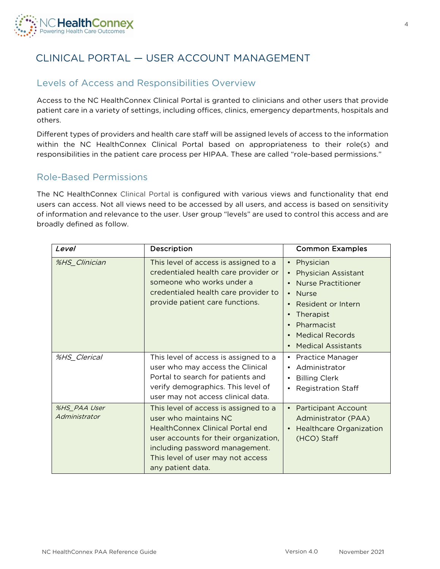

# <span id="page-3-0"></span>CLINICAL PORTAL — USER ACCOUNT MANAGEMENT

# <span id="page-3-1"></span>Levels of Access and Responsibilities Overview

Access to the NC HealthConnex Clinical Portal is granted to clinicians and other users that provide patient care in a variety of settings, including offices, clinics, emergency departments, hospitals and others.

Different types of providers and health care staff will be assigned levels of access to the information within the NC HealthConnex Clinical Portal based on appropriateness to their role(s) and responsibilities in the patient care process per HIPAA. These are called "role-based permissions."

### <span id="page-3-2"></span>Role-Based Permissions

The NC HealthConnex Clinical Portal is configured with various views and functionality that end users can access. Not all views need to be accessed by all users, and access is based on sensitivity of information and relevance to the user. User group "levels" are used to control this access and are broadly defined as follow.

| <i>Level</i>                  | Description                                                                                                                                                                                                                             | <b>Common Examples</b>                                                                                                                                                                                                                                                                                            |
|-------------------------------|-----------------------------------------------------------------------------------------------------------------------------------------------------------------------------------------------------------------------------------------|-------------------------------------------------------------------------------------------------------------------------------------------------------------------------------------------------------------------------------------------------------------------------------------------------------------------|
| %HS_Clinician                 | This level of access is assigned to a<br>credentialed health care provider or<br>someone who works under a<br>credentialed health care provider to<br>provide patient care functions.                                                   | Physician<br>$\bullet$<br><b>Physician Assistant</b><br>$\bullet$<br><b>Nurse Practitioner</b><br>$\bullet$<br><b>Nurse</b><br>$\bullet$<br>Resident or Intern<br>$\bullet$<br>Therapist<br>$\bullet$<br>Pharmacist<br>$\bullet$<br><b>Medical Records</b><br>$\bullet$<br><b>Medical Assistants</b><br>$\bullet$ |
| %HS_Clerical                  | This level of access is assigned to a<br>user who may access the Clinical<br>Portal to search for patients and<br>verify demographics. This level of<br>user may not access clinical data.                                              | <b>Practice Manager</b><br>$\bullet$<br>Administrator<br>$\bullet$<br><b>Billing Clerk</b><br>٠<br><b>Registration Staff</b><br>٠                                                                                                                                                                                 |
| %HS PAA User<br>Administrator | This level of access is assigned to a<br>user who maintains NC<br>HealthConnex Clinical Portal end<br>user accounts for their organization,<br>including password management.<br>This level of user may not access<br>any patient data. | <b>Participant Account</b><br>$\bullet$<br>Administrator (PAA)<br><b>Healthcare Organization</b><br>$\bullet$<br>(HCO) Staff                                                                                                                                                                                      |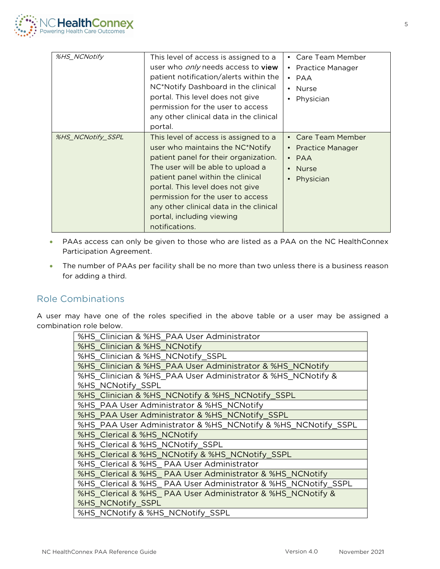

| %HS NCNotify      | This level of access is assigned to a<br>user who <i>only</i> needs access to <b>view</b><br>patient notification/alerts within the<br>NC*Notify Dashboard in the clinical<br>portal. This level does not give<br>permission for the user to access<br>any other clinical data in the clinical<br>portal.                                                       | • Care Team Member<br>• Practice Manager<br>$\cdot$ PAA<br>• Nurse<br>Physician      |
|-------------------|-----------------------------------------------------------------------------------------------------------------------------------------------------------------------------------------------------------------------------------------------------------------------------------------------------------------------------------------------------------------|--------------------------------------------------------------------------------------|
| %HS NCNotify SSPL | This level of access is assigned to a<br>user who maintains the NC*Notify<br>patient panel for their organization.<br>The user will be able to upload a<br>patient panel within the clinical<br>portal. This level does not give<br>permission for the user to access<br>any other clinical data in the clinical<br>portal, including viewing<br>notifications. | • Care Team Member<br>• Practice Manager<br>$\cdot$ PAA<br><b>Nurse</b><br>Physician |

- PAAs access can only be given to those who are listed as a PAA on the NC HealthConnex Participation Agreement.
- The number of PAAs per facility shall be no more than two unless there is a business reason for adding a third.

### <span id="page-4-0"></span>Role Combinations

A user may have one of the roles specified in the above table or a user may be assigned a combination role below.

| %HS_Clinician & %HS_PAA User Administrator                     |
|----------------------------------------------------------------|
| %HS_Clinician & %HS_NCNotify                                   |
| %HS_Clinician & %HS_NCNotify_SSPL                              |
| %HS_Clinician & %HS_PAA User Administrator & %HS_NCNotify      |
| %HS_Clinician & %HS_PAA User Administrator & %HS_NCNotify &    |
| %HS NCNotify SSPL                                              |
| %HS_Clinician & %HS_NCNotify & %HS_NCNotify_SSPL               |
| %HS_PAA User Administrator & %HS_NCNotify                      |
| %HS_PAA User Administrator & %HS_NCNotify_SSPL                 |
| %HS_PAA User Administrator & %HS_NCNotify & %HS_NCNotify_SSPL  |
| %HS_Clerical & %HS_NCNotify                                    |
| %HS_Clerical & %HS_NCNotify_SSPL                               |
| %HS_Clerical & %HS_NCNotify & %HS_NCNotify_SSPL                |
| %HS_Clerical & %HS_ PAA User Administrator                     |
| %HS_Clerical & %HS_PAA User Administrator & %HS_NCNotify       |
| %HS_Clerical & %HS_ PAA User Administrator & %HS_NCNotify_SSPL |
| %HS_Clerical & %HS_PAA User Administrator & %HS_NCNotify &     |
| %HS_NCNotify_SSPL                                              |
| %HS_NCNotify & %HS_NCNotify_SSPL                               |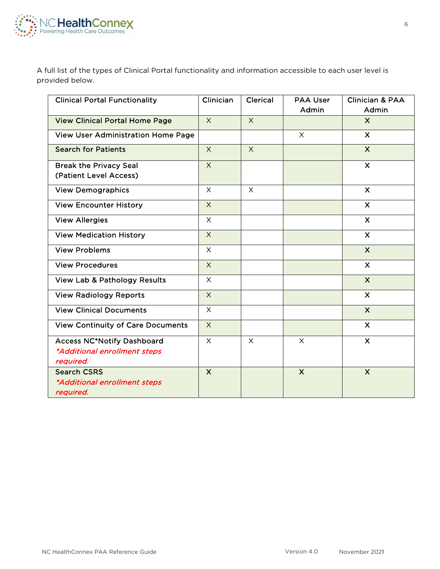

A full list of the types of Clinical Portal functionality and information accessible to each user level is provided below.

| <b>Clinical Portal Functionality</b>                                           | Clinician    | <b>Clerical</b> | <b>PAA User</b><br>Admin | <b>Clinician &amp; PAA</b><br>Admin |
|--------------------------------------------------------------------------------|--------------|-----------------|--------------------------|-------------------------------------|
| <b>View Clinical Portal Home Page</b>                                          | $\times$     | $\times$        |                          | $\boldsymbol{\mathsf{X}}$           |
| <b>View User Administration Home Page</b>                                      |              |                 | $\times$                 | $\boldsymbol{\mathsf{X}}$           |
| <b>Search for Patients</b>                                                     | $\times$     | $\times$        |                          | $\mathsf{X}$                        |
| <b>Break the Privacy Seal</b><br>(Patient Level Access)                        | $\times$     |                 |                          | $\mathsf{x}$                        |
| <b>View Demographics</b>                                                       | $\times$     | $\times$        |                          | $\mathsf{X}$                        |
| <b>View Encounter History</b>                                                  | $\times$     |                 |                          | $\boldsymbol{\mathsf{X}}$           |
| <b>View Allergies</b>                                                          | $\times$     |                 |                          | $\mathsf{X}$                        |
| <b>View Medication History</b>                                                 | $\times$     |                 |                          | $\mathsf{x}$                        |
| <b>View Problems</b>                                                           | $\times$     |                 |                          | $\boldsymbol{\mathsf{X}}$           |
| <b>View Procedures</b>                                                         | $\times$     |                 |                          | $\boldsymbol{\mathsf{X}}$           |
| <b>View Lab &amp; Pathology Results</b>                                        | $\times$     |                 |                          | $\overline{\mathsf{x}}$             |
| <b>View Radiology Reports</b>                                                  | $\times$     |                 |                          | $\mathsf{X}$                        |
| <b>View Clinical Documents</b>                                                 | $\times$     |                 |                          | $\boldsymbol{\mathsf{X}}$           |
| <b>View Continuity of Care Documents</b>                                       | $\times$     |                 |                          | $\mathsf{X}$                        |
| <b>Access NC*Notify Dashboard</b><br>*Additional enrollment steps<br>required. | $\times$     | $\times$        | $\times$                 | $\mathsf{x}$                        |
| <b>Search CSRS</b><br>*Additional enrollment steps<br>required.                | $\mathsf{X}$ |                 | $\times$                 | $\boldsymbol{\mathsf{X}}$           |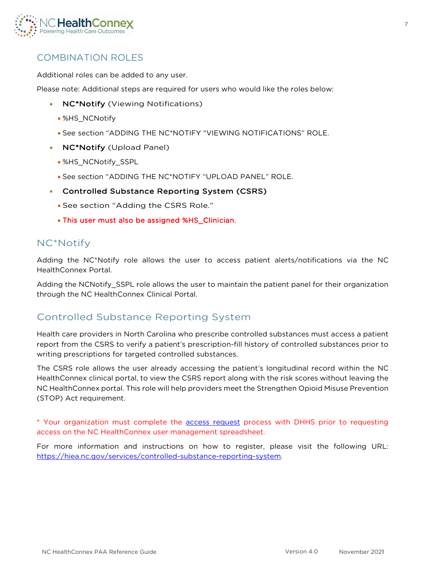

# <span id="page-6-0"></span>COMBINATION ROLES

Additional roles can be added to any user.

Please note: Additional steps are required for users who would like the roles below:

- **NC\*Notify** (Viewing Notifications)
	- %HS\_NCNotify
	- See section "ADDING THE NC\*NOTIFY "VIEWING NOTIFICATIONS" ROLE.
- **NC\*Notify** (Upload Panel)
	- %HS\_NCNotify\_SSPL
	- See section "ADDING THE NC\*NOTIFY "UPLOAD PANEL" ROLE.
- Controlled Substance Reporting System (CSRS)
	- See section "Adding the CSRS Role."
	- This user must also be assigned %HS\_Clinician.

# <span id="page-6-1"></span>NC\*Notify

Adding the NC\*Notify role allows the user to access patient alerts/notifications via the NC HealthConnex Portal.

Adding the NCNotify\_SSPL role allows the user to maintain the patient panel for their organization through the NC HealthConnex Clinical Portal.

# <span id="page-6-2"></span>Controlled Substance Reporting System

Health care providers in North Carolina who prescribe controlled substances must access a patient report from the CSRS to verify a patient's prescription-fill history of controlled substances prior to writing prescriptions for targeted controlled substances.

The CSRS role allows the user already accessing the patient's longitudinal record within the NC HealthConnex clinical portal, to view the CSRS report along with the risk scores without leaving the NC HealthConnex portal. This role will help providers meet the Strengthen Opioid Misuse Prevention (STOP) Act requirement.

\* Your organization must complete the [access request](https://hiea.nc.gov/services/controlled-substance-reporting-system) process with DHHS prior to requesting access on the NC HealthConnex user management spreadsheet.

For more information and instructions on how to register, please visit the following URL: [https://hiea.nc.gov/services/controlled-substance-reporting-system.](https://hiea.nc.gov/services/controlled-substance-reporting-system)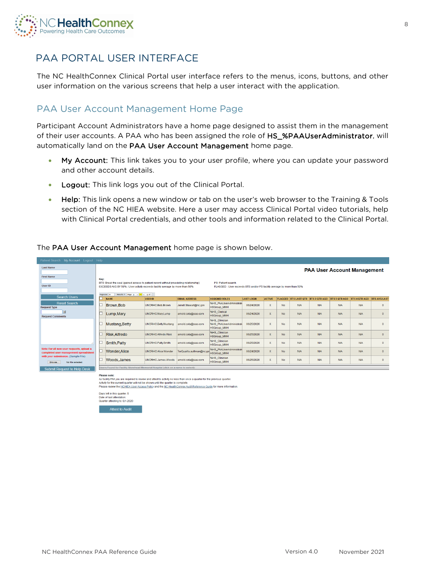

# <span id="page-7-0"></span>PAA PORTAL USER INTERFACE

The NC HealthConnex Clinical Portal user interface refers to the menus, icons, buttons, and other user information on the various screens that help a user interact with the application.

## <span id="page-7-1"></span>PAA User Account Management Home Page

Participant Account Administrators have a home page designed to assist them in the management of their user accounts. A PAA who has been assigned the role of HS\_%PAAUserAdministrator, will automatically land on the PAA User Account Management home page.

- My Account: This link takes you to your user profile, where you can update your password and other account details.
- Logout: This link logs you out of the Clinical Portal.
- Help: This link opens a new window or tab on the user's web browser to the Training & Tools section of the NC HIEA website. Here a user may access Clinical Portal video tutorials, help with Clinical Portal credentials, and other tools and information related to the Clinical Portal.

### The PAA User Account Management home page is shown below.

| Patient Search My Account Logout Help                                              |                                    |                                                                                                                                                                                                                                                                        |                            |                          |                                                                |                   |                           |           |            |                                           |               |                            |              |
|------------------------------------------------------------------------------------|------------------------------------|------------------------------------------------------------------------------------------------------------------------------------------------------------------------------------------------------------------------------------------------------------------------|----------------------------|--------------------------|----------------------------------------------------------------|-------------------|---------------------------|-----------|------------|-------------------------------------------|---------------|----------------------------|--------------|
| <b>Last Name</b><br><b>First Name</b>                                              | <b>PAA User Account Management</b> |                                                                                                                                                                                                                                                                        |                            |                          |                                                                |                   |                           |           |            |                                           |               |                            |              |
| User ID                                                                            | Key:                               | BTS: Break the seal (gained access to patient record without preexisting relationship)<br>PS: Patient search<br>EXCEEDS AVG BY 50% : User activity exceeds facility average by more than 50%<br>FLAGGED : User exceeds BTS and/or PS facility average by more than 50% |                            |                          |                                                                |                   |                           |           |            |                                           |               |                            |              |
| <b>Search Users</b>                                                                |                                    | Results: 7 Page: [c] or   1   or   of 1<br>Page size: 25<br><b>NAME</b>                                                                                                                                                                                                | <b>USER ID</b>             | <b>EMAIL ADDRESS</b>     | <b>ASSIGNED ROLES</b>                                          | <b>LAST LOGIN</b> | <b>ACTIVE</b>             |           |            | <b>FLAGGED BTS LAST QTR BTS 2 QTR AGO</b> | BTS 3 OTR AGO | BTS 4 QTR AGO BTS AVG LAST |              |
| <b>Reset Search</b><br><b>Request Type</b>                                         |                                    | Brown, Bob                                                                                                                                                                                                                                                             | UNCRHC.Bob.Brown           | Jenell.Stewart@nc.gov    | %HS PAAUserAdministrat<br><b>HSGroup MMH</b>                   | 06/24/2020        | X                         | <b>No</b> | <b>N/A</b> | <b>N/A</b>                                | <b>N/A</b>    | <b>N/A</b>                 | $\Omega$     |
| 回<br><b>Request Comments</b>                                                       |                                    | Lump, Mary                                                                                                                                                                                                                                                             | UNCRHC.Marv.Lump           | arnold.cota@sas.com      | %HS Clerical<br><b>HSGroup MMH</b>                             | 06/24/2020        | $\mathbf{x}$              | <b>No</b> | <b>N/A</b> | <b>N/A</b>                                | <b>N/A</b>    | <b>N/A</b>                 | $\mathbf{0}$ |
|                                                                                    |                                    | Mustang, Betty                                                                                                                                                                                                                                                         | UNCRHC.Bettv.Mustang       | arnold.cota@sas.com      | %HS Clinician<br>%HS PAAUserAdministrate<br><b>HSGroup_MMH</b> | 06/25/2020        | X                         | <b>No</b> | <b>N/A</b> | <b>N/A</b>                                | <b>N/A</b>    | N/A                        | $\Omega$     |
|                                                                                    |                                    | Risk, Alfredo                                                                                                                                                                                                                                                          | UNCRHC.Alfredo.Risk        | arnold.cota@sas.com      | %HS Clinician<br><b>HSGroup MMH</b>                            | 06/25/2020        | $\mathbf{x}$              | <b>No</b> | <b>N/A</b> | <b>N/A</b>                                | <b>N/A</b>    | <b>N/A</b>                 | $\mathbf{0}$ |
|                                                                                    | ▣                                  | Smith.Patty                                                                                                                                                                                                                                                            | UNCRHC.Pattv.Smith         | arnold.cota@sas.com      | %HS Clinician<br><b>HSGroup_MMH</b>                            | 06/25/2020        | $\boldsymbol{\mathsf{x}}$ | No        | <b>N/A</b> | N/A                                       | <b>N/A</b>    | <b>N/A</b>                 | $\Omega$     |
| Note: For all new user requests, upload a<br>completed user management spreadsheet |                                    | <b>Wonder, Alice</b>                                                                                                                                                                                                                                                   | <b>UNCRHC Alice Wonder</b> | TorQuailla.aultman@nc.go | %HS PAAUserAdministrat<br><b>HSGroup_MMH</b>                   | 06/24/2020        | $\mathbf x$               | <b>No</b> | <b>N/A</b> | <b>N/A</b>                                | <b>N/A</b>    | N/A                        | $\mathbf{0}$ |
| with your submission. (Sample File)<br>No file selected.<br>Browse.                | ▣                                  | Woods.James                                                                                                                                                                                                                                                            | UNCRHC.James.Woods         | arnold.cota@sas.com      | %HS Clinician<br><b>HSGroup_MMH</b>                            | 06/25/2020        | $\mathbf{x}$              | <b>No</b> | <b>N/A</b> | <b>N/A</b>                                | <b>N/A</b>    | <b>N/A</b>                 | $\mathbf{0}$ |
| Submit Request to Help Desk                                                        |                                    | Users Found for Facility Morehead Memorial Hospital (click on a name to select):                                                                                                                                                                                       |                            |                          |                                                                |                   |                           |           |            |                                           |               |                            |              |
|                                                                                    |                                    | <b>Please note:</b>                                                                                                                                                                                                                                                    |                            |                          |                                                                |                   |                           |           |            |                                           |               |                            |              |

Pretase indec<br>As facility PM you are required to review and attest to activity no less than once a quarter for the previous quarter.<br>Activity for the current quarter will not be shown until the quarter is complete.<br>Please

Days left in this quarter: 5

Date of last attestation Quarter attesting to: Q1-2020

ttest to Audit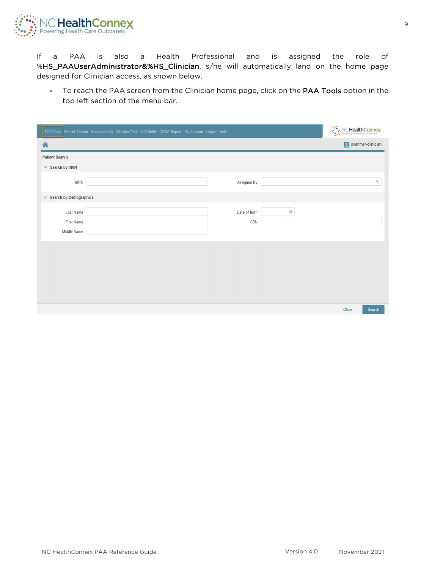

If a PAA is also a Health Professional and is assigned the role of %HS\_PAAUserAdministrator&%HS\_Clinician, s/he will automatically land on the home page designed for Clinician access, as shown below.

• To reach the PAA screen from the Clinician home page, click on the PAA Tools option in the top left section of the menu bar.

|                               | PAA Tools Patient Search Messages (0) Clinician Tools NC*Notify CSRS Report My Account Logout Help |               |                       | QΨ.<br>wering Health Care Outcomes | <b>CHealthConnex</b> |
|-------------------------------|----------------------------------------------------------------------------------------------------|---------------|-----------------------|------------------------------------|----------------------|
| 合                             |                                                                                                    |               |                       |                                    | p jbrehmer-clinician |
| <b>Patient Search</b>         |                                                                                                    |               |                       |                                    |                      |
| $\vee$ Search by MRN          |                                                                                                    |               |                       |                                    |                      |
| MRN                           |                                                                                                    | Assigned By   |                       |                                    | $\Box_{\!\!\!\! i}$  |
| $\vee$ Search by Demographics |                                                                                                    |               |                       |                                    |                      |
| Last Name                     |                                                                                                    | Date of Birth | $\overline{\boxplus}$ |                                    |                      |
| First Name                    |                                                                                                    | SSN           |                       |                                    |                      |
| Middle Name                   |                                                                                                    |               |                       |                                    |                      |
|                               |                                                                                                    |               |                       |                                    |                      |
|                               |                                                                                                    |               |                       |                                    |                      |
|                               |                                                                                                    |               |                       |                                    |                      |
|                               |                                                                                                    |               |                       |                                    |                      |
|                               |                                                                                                    |               |                       |                                    |                      |
|                               |                                                                                                    |               |                       |                                    |                      |
|                               |                                                                                                    |               |                       | Clear                              | Search               |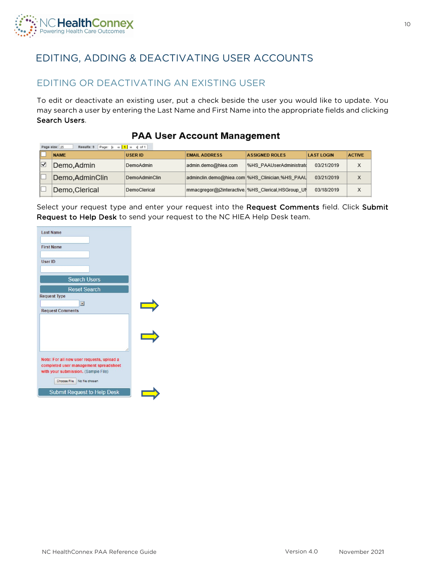

# <span id="page-9-0"></span>EDITING, ADDING & DEACTIVATING USER ACCOUNTS

# <span id="page-9-1"></span>EDITING OR DEACTIVATING AN EXISTING USER

To edit or deactivate an existing user, put a check beside the user you would like to update. You may search a user by entering the Last Name and First Name into the appropriate fields and clicking Search Users.

### **PAA User Account Management**

|    | Page: k a 1   » >   of 1<br>Page size: 25<br>Results: 9 |                      |                                                   |                         |                   |               |
|----|---------------------------------------------------------|----------------------|---------------------------------------------------|-------------------------|-------------------|---------------|
|    | <b>NAME</b>                                             | <b>USER ID</b>       | <b>EMAIL ADDRESS</b>                              | <b>ASSIGNED ROLES</b>   | <b>LAST LOGIN</b> | <b>ACTIVE</b> |
| ∣√ | Demo Admin                                              | DemoAdmin            | admin.demo@hiea.com                               | %HS PAAUserAdministratd | 03/21/2019        | Х             |
|    | Demo, Admin Clin                                        | <b>DemoAdminClin</b> | adminclin.demo@hiea.com %HS Clinician,%HS PAAU    |                         | 03/21/2019        | X             |
|    | Demo Clerical                                           | DemoClerical         | mmacgregor@j2interactive. %HS_Clerical,HSGroup_UN |                         | 03/18/2019        | X             |

Select your request type and enter your request into the Request Comments field. Click Submit Request to Help Desk to send your request to the NC HIEA Help Desk team.

| <b>Last Name</b>                                                                                                                                           |  |
|------------------------------------------------------------------------------------------------------------------------------------------------------------|--|
| <b>First Name</b>                                                                                                                                          |  |
| User ID                                                                                                                                                    |  |
| <b>Search Users</b>                                                                                                                                        |  |
| <b>Reset Search</b>                                                                                                                                        |  |
| <b>Request Type</b>                                                                                                                                        |  |
| $\blacksquare$                                                                                                                                             |  |
| <b>Request Comments</b>                                                                                                                                    |  |
|                                                                                                                                                            |  |
| Note: For all new user requests, upload a<br>completed user management spreadsheet<br>with your submission. (Sample File)<br>Choose File<br>No file chosen |  |
| <b>Submit Request to Help Desk</b>                                                                                                                         |  |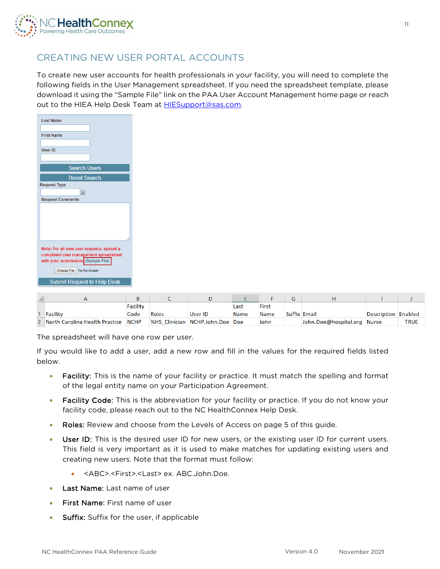

# <span id="page-10-0"></span>CREATING NEW USER PORTAL ACCOUNTS

To create new user accounts for health professionals in your facility, you will need to complete the following fields in the User Management spreadsheet. If you need the spreadsheet template, please download it using the "Sample File" link on the PAA User Account Management home page or reach out to the HIEA Help Desk Team at **HIESupport@sas.com.** 



|                                       |          |              |                                 |             |             | u |                             |                     |             |
|---------------------------------------|----------|--------------|---------------------------------|-------------|-------------|---|-----------------------------|---------------------|-------------|
|                                       | Facility |              |                                 | Last        | First       |   |                             |                     |             |
| Facility                              | Code     | <b>Roles</b> | User ID                         | <b>Name</b> | <b>Name</b> |   | <b>Suffix Email</b>         | Description Enabled |             |
| 2 North Carolina Health Practice NCHP |          |              | %HS Clinician NCHP.John.Doe Doe |             | John        |   | John.Doe@hospital.org Nurse |                     | <b>TRUE</b> |

The spreadsheet will have one row per user.

If you would like to add a user, add a new row and fill in the values for the required fields listed below.

- Facility: This is the name of your facility or practice. It must match the spelling and format of the legal entity name on your Participation Agreement.
- Facility Code: This is the abbreviation for your facility or practice. If you do not know your facility code, please reach out to the NC HealthConnex Help Desk.
- Roles: Review and choose from the Levels of Access on page 5 of this guide.
- User ID: This is the desired user ID for new users, or the existing user ID for current users. This field is very important as it is used to make matches for updating existing users and creating new users. Note that the format must follow:
	- <ABC>.<First>.<Last> ex. ABC.John.Doe.
- Last Name: Last name of user
- First Name: First name of user
- Suffix: Suffix for the user, if applicable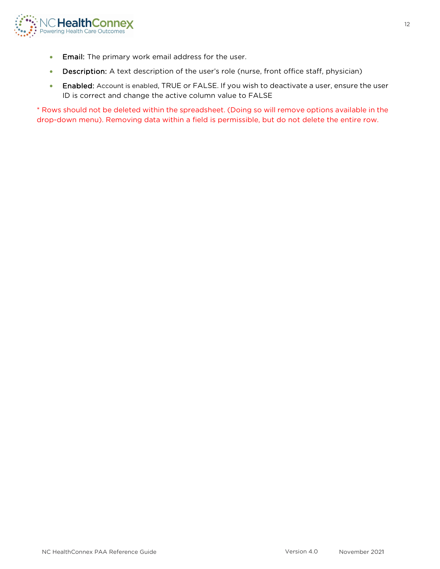

- Email: The primary work email address for the user.
- Description: A text description of the user's role (nurse, front office staff, physician)
- Enabled: Account is enabled, TRUE or FALSE. If you wish to deactivate a user, ensure the user ID is correct and change the active column value to FALSE

\* Rows should not be deleted within the spreadsheet. (Doing so will remove options available in the drop-down menu). Removing data within a field is permissible, but do not delete the entire row.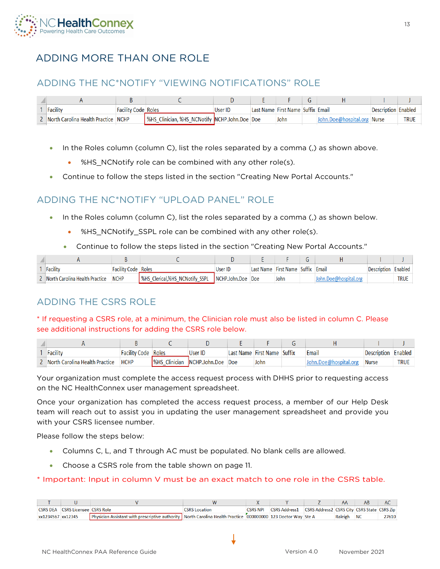

# <span id="page-12-0"></span>ADDING MORE THAN ONE ROLE

# <span id="page-12-1"></span>ADDING THE NC\*NOTIFY "VIEWING NOTIFICATIONS" ROLE

| l Facility                            | <b>Facility Code Roles</b> |                                                      | User ID | Last Name First Name Suffix Email |                             | Description Enabled |             |
|---------------------------------------|----------------------------|------------------------------------------------------|---------|-----------------------------------|-----------------------------|---------------------|-------------|
| ⊿ North Carolina Health Practice NCHP |                            | <b>WHS_Clinician, %HS_NCNotify NCHP.John.Doe Doe</b> |         | John                              | John.Doe@hospital.org Nurse |                     | <b>TRUE</b> |

- In the Roles column (column C), list the roles separated by a comma (,) as shown above.
	- %HS NCNotify role can be combined with any other role(s).
- Continue to follow the steps listed in the section "Creating New Portal Accounts."

### <span id="page-12-2"></span>ADDING THE NC\*NOTIFY "UPLOAD PANEL" ROLE

- In the Roles column (column C), list the roles separated by a comma (,) as shown below.
	- %HS\_NCNotify\_SSPL role can be combined with any other role(s).
	- Continue to follow the steps listed in the section "Creating New Portal Accounts."

| Facility                       | <b>Facility Code Roles</b> |                                                  | Jser ID | Last Name First Name Suffix Email |  | Description | Enabled |
|--------------------------------|----------------------------|--------------------------------------------------|---------|-----------------------------------|--|-------------|---------|
| North Carolina Health Practice | <b>NCHP</b>                | SHS Clerical,%HS NCNotify SSPL NCHP.John.Doe Doe |         | John                              |  |             | TRUE    |

# <span id="page-12-3"></span>ADDING THE CSRS ROLE

### \* If requesting a CSRS role, at a minimum, the Clinician role must also be listed in column C. Please see additional instructions for adding the CSRS role below.

| Facility                       | Facility Code | Roles | User ID                         | Last Name First Name | Suffix | Email            | Description  | Enabled     |
|--------------------------------|---------------|-------|---------------------------------|----------------------|--------|------------------|--------------|-------------|
| Morth Carolina Health Practice | <b>HCHP</b>   |       | SHS Clinician NCHP.John.Doe Doe | John                 |        | )oe@hospital.org | <b>Nurse</b> | <b>TRUE</b> |

Your organization must complete the access request process with DHHS prior to requesting access on the NC HealthConnex user management spreadsheet.

Once your organization has completed the access request process, a member of our Help Desk team will reach out to assist you in updating the user management spreadsheet and provide you with your CSRS licensee number.

Please follow the steps below:

- Columns C, L, and T through AC must be populated. No blank cells are allowed.
- Choose a CSRS role from the table shown on page 11.

### \* Important: Input in column V must be an exact match to one role in the CSRS table.

|                   |                                         |                                                                                                                |                      |                                                                    |            | AB |       |
|-------------------|-----------------------------------------|----------------------------------------------------------------------------------------------------------------|----------------------|--------------------------------------------------------------------|------------|----|-------|
|                   | <b>CSRS DEA</b> CSRS Licensee CSRS Role |                                                                                                                | <b>CSRS Location</b> | CSRS NPI CSRS Address1 CSRS Address2 CSRS City CSRS State CSRS Zip |            |    |       |
| xx1234567 xx12345 |                                         | Physician Assistant with prescriptive authority North Carolina Health Practice (000000000 123 Doctor Way Ste A |                      |                                                                    | Raleigh NC |    | 27610 |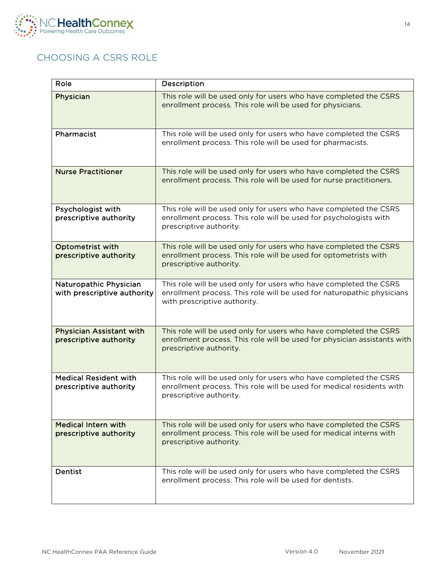

# <span id="page-13-0"></span>CHOOSING A CSRS ROLE

| Role                                                      | Description                                                                                                                                                                 |
|-----------------------------------------------------------|-----------------------------------------------------------------------------------------------------------------------------------------------------------------------------|
| Physician                                                 | This role will be used only for users who have completed the CSRS<br>enrollment process. This role will be used for physicians.                                             |
| Pharmacist                                                | This role will be used only for users who have completed the CSRS<br>enrollment process. This role will be used for pharmacists.                                            |
| <b>Nurse Practitioner</b>                                 | This role will be used only for users who have completed the CSRS<br>enrollment process. This role will be used for nurse practitioners.                                    |
| Psychologist with<br>prescriptive authority               | This role will be used only for users who have completed the CSRS<br>enrollment process. This role will be used for psychologists with<br>prescriptive authority.           |
| Optometrist with<br>prescriptive authority                | This role will be used only for users who have completed the CSRS<br>enrollment process. This role will be used for optometrists with<br>prescriptive authority.            |
| Naturopathic Physician<br>with prescriptive authority     | This role will be used only for users who have completed the CSRS<br>enrollment process. This role will be used for naturopathic physicians<br>with prescriptive authority. |
| <b>Physician Assistant with</b><br>prescriptive authority | This role will be used only for users who have completed the CSRS<br>enrollment process. This role will be used for physician assistants with<br>prescriptive authority.    |
| <b>Medical Resident with</b><br>prescriptive authority    | This role will be used only for users who have completed the CSRS<br>enrollment process. This role will be used for medical residents with<br>prescriptive authority.       |
| <b>Medical Intern with</b><br>prescriptive authority      | This role will be used only for users who have completed the CSRS<br>enrollment process. This role will be used for medical interns with<br>prescriptive authority.         |
| Dentist                                                   | This role will be used only for users who have completed the CSRS<br>enrollment process. This role will be used for dentists.                                               |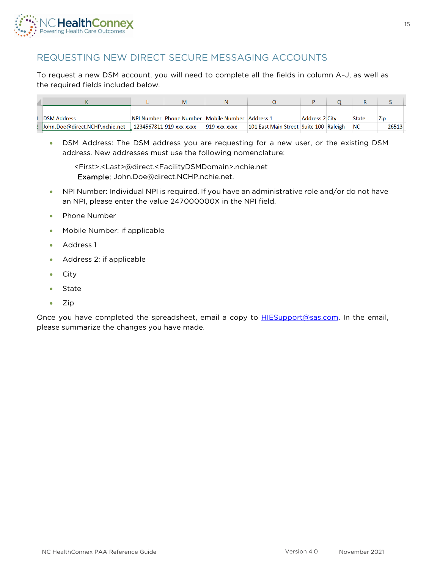

# <span id="page-14-0"></span>REQUESTING NEW DIRECT SECURE MESSAGING ACCOUNTS

To request a new DSM account, you will need to complete all the fields in column A–J, as well as the required fields included below.

| <b>DSM Address</b>             |  |                         | NPI Number Phone Number Mobile Number Address 1 |                                        | <b>Address 2 City</b> |  | <b>State</b> | Zip   |
|--------------------------------|--|-------------------------|-------------------------------------------------|----------------------------------------|-----------------------|--|--------------|-------|
| John.Doe@direct.NCHP.nchie.net |  | 1234567811 919-xxx-xxxx | 919-xxx-xxxx                                    | 101 East Main Street Suite 100 Raleigh |                       |  | <b>NC</b>    | 26513 |

• DSM Address: The DSM address you are requesting for a new user, or the existing DSM address. New addresses must use the following nomenclature:

<First>.<Last>@direct.<FacilityDSMDomain>.nchie.net Example: John.Doe@direct.NCHP.nchie.net.

- NPI Number: Individual NPI is required. If you have an administrative role and/or do not have an NPI, please enter the value 247000000X in the NPI field.
- Phone Number
- Mobile Number: if applicable
- Address 1
- Address 2: if applicable
- City
- State
- Zip

Once you have completed the spreadsheet, email a copy to **HIESupport@sas.com**. In the email, please summarize the changes you have made.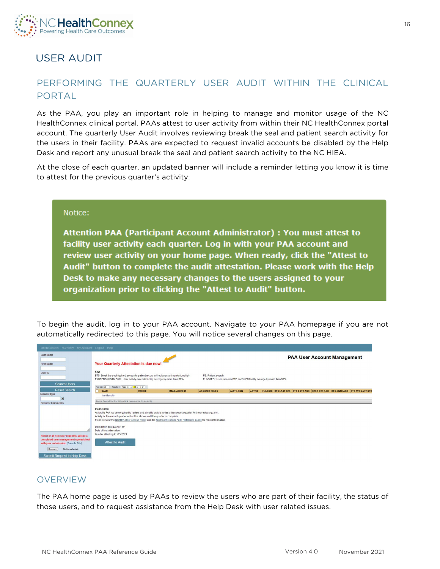

# <span id="page-15-0"></span>USER AUDIT

# <span id="page-15-1"></span>PERFORMING THE QUARTERLY USER AUDIT WITHIN THE CLINICAL PORTAL

As the PAA, you play an important role in helping to manage and monitor usage of the NC HealthConnex clinical portal. PAAs attest to user activity from within their NC HealthConnex portal account. The quarterly User Audit involves reviewing break the seal and patient search activity for the users in their facility. PAAs are expected to request invalid accounts be disabled by the Help Desk and report any unusual break the seal and patient search activity to the NC HIEA.

At the close of each quarter, an updated banner will include a reminder letting you know it is time to attest for the previous quarter's activity:

#### Notice:

Attention PAA (Participant Account Administrator) : You must attest to facility user activity each quarter. Log in with your PAA account and review user activity on your home page. When ready, click the "Attest to Audit" button to complete the audit attestation. Please work with the Help Desk to make any necessary changes to the users assigned to your organization prior to clicking the "Attest to Audit" button.

To begin the audit, log in to your PAA account. Navigate to your PAA homepage if you are not automatically redirected to this page. You will notice several changes on this page.

| Patient Search NC'Notify My Account Logout Help                                                                           |                                                                                                                                                                                                                                                                                                                                                                                                                                                 |                      |                       |                   |               |                                                                                 |                                    |  |  |
|---------------------------------------------------------------------------------------------------------------------------|-------------------------------------------------------------------------------------------------------------------------------------------------------------------------------------------------------------------------------------------------------------------------------------------------------------------------------------------------------------------------------------------------------------------------------------------------|----------------------|-----------------------|-------------------|---------------|---------------------------------------------------------------------------------|------------------------------------|--|--|
| <b>Last Name</b><br><b>First Name</b><br>User ID                                                                          | Your Quarterly Attestation is due now!<br>Key:                                                                                                                                                                                                                                                                                                                                                                                                  |                      |                       |                   |               |                                                                                 | <b>PAA User Account Management</b> |  |  |
| <b>Search Users</b>                                                                                                       | BTS: Break the seal (gained access to patient record without preexisting relationship)<br>EXCEEDS AVG BY 50% : User activity exceeds facility average by more than 50%<br>Results: 0 Page: (c o   1   ii   ii 1<br>Page size: 25                                                                                                                                                                                                                |                      | PS: Patient search    |                   |               | FLAGGED : User exceeds BTS and/or PS facility average by more than 50%          |                                    |  |  |
| <b>Reset Search</b><br><b>Request Type</b>                                                                                | <b>NAME</b><br><b>USER ID</b>                                                                                                                                                                                                                                                                                                                                                                                                                   | <b>EMAIL ADDRESS</b> | <b>ASSIGNED ROLES</b> | <b>LAST LOGIN</b> | <b>ACTIVE</b> | FLAGGED BTS LAST QTR BTS 2 QTR AGO BTS 3 QTR AGO BTS 4 QTR AGO BTS AVG LAST QTR |                                    |  |  |
| $\Box$                                                                                                                    | No Results                                                                                                                                                                                                                                                                                                                                                                                                                                      |                      |                       |                   |               |                                                                                 |                                    |  |  |
| <b>Request Comments</b>                                                                                                   | Users Found for Facility (click on a name to select):                                                                                                                                                                                                                                                                                                                                                                                           |                      |                       |                   |               |                                                                                 |                                    |  |  |
|                                                                                                                           | Please note:<br>As facility PAA you are required to review and attest to activity no less than once a quarter for the previous quarter.<br>Activity for the current quarter will not be shown until the quarter is complete.<br>Please review the NCHIEA User Access Policy and the NC HealthConnex Audit Reference Guide for more information.<br>Days left in this quarter: 111<br>Date of last attestation:<br>Quarter attesting to: Q3-2021 |                      |                       |                   |               |                                                                                 |                                    |  |  |
| Note: For all new user requests, upload a<br>completed user management spreadsheet<br>with your submission. (Sample File) | <b>Attest to Audit</b>                                                                                                                                                                                                                                                                                                                                                                                                                          |                      |                       |                   |               |                                                                                 |                                    |  |  |
| No file selected.<br>Browse.                                                                                              |                                                                                                                                                                                                                                                                                                                                                                                                                                                 |                      |                       |                   |               |                                                                                 |                                    |  |  |
| Submit Request to Help Desk                                                                                               |                                                                                                                                                                                                                                                                                                                                                                                                                                                 |                      |                       |                   |               |                                                                                 |                                    |  |  |

### **OVERVIEW**

The PAA home page is used by PAAs to review the users who are part of their facility, the status of those users, and to request assistance from the Help Desk with user related issues.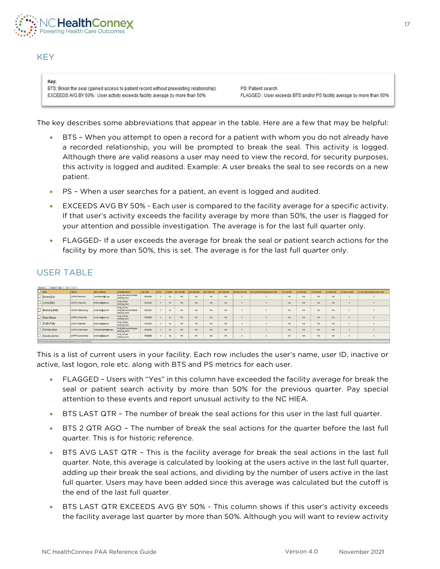

### **KEY**

Kev:

BTS: Break the seal (gained access to patient record without preexisting relationship) EXCEEDS AVG BY 50% : User activity exceeds facility average by more than 50%

PS: Patient search FLAGGED : User exceeds BTS and/or PS facility average by more than 50%

The key describes some abbreviations that appear in the table. Here are a few that may be helpful:

- BTS When you attempt to open a record for a patient with whom you do not already have a recorded relationship, you will be prompted to break the seal. This activity is logged. Although there are valid reasons a user may need to view the record, for security purposes, this activity is logged and audited. Example: A user breaks the seal to see records on a new patient.
- PS When a user searches for a patient, an event is logged and audited.
- EXCEEDS AVG BY 50% Each user is compared to the facility average for a specific activity. If that user's activity exceeds the facility average by more than 50%, the user is flagged for your attention and possible investigation. The average is for the last full quarter only.
- FLAGGED- If a user exceeds the average for break the seal or patient search actions for the facility by more than 50%, this is set. The average is for the last full quarter only.

### USER TABLE

|                     | <b>Health 7. Page 11. A 231 A. 4 MT</b><br><b>There were 10</b> |                            |                           |                                                                       |            |        |                |                     |                      |               |                |                           |                                    |            |                     |                    |             |               |                                |
|---------------------|-----------------------------------------------------------------|----------------------------|---------------------------|-----------------------------------------------------------------------|------------|--------|----------------|---------------------|----------------------|---------------|----------------|---------------------------|------------------------------------|------------|---------------------|--------------------|-------------|---------------|--------------------------------|
|                     | NAME                                                            | USER ID                    | <b>EMAIL ADDRESS</b>      | A 8 BIGNED ROLES                                                      | LASTLOGIN  | ACTIVE | <b>FLAGGED</b> | <b>BTS LAST OFR</b> | <b>BT8 2 GTR AGO</b> | BT8 3 GTR AGO | BT8 4 GTR AGO  | <b>BT8 AVG LA ST CITE</b> | BT8 LA ST GTR EXCEED \$ AVG BY 60% | PELASTOTR  | <b>PS 2 GTR 460</b> | <b>P83 GTR AGO</b> | P84 0TR AGO | PEAKOLA STOTE | PS LAST QTR EXCEEDS AVG BY 60% |
| <b>Long Company</b> | <b>Brown, Bob</b>                                               | UNCRHC Bob Brown           | Jenell Stevartghc.gov     | <b>1945 RAUserAdministrator</b><br><b>HSGroup_MARH</b>                | 06/24/2020 |        | No.            | N/A                 | N/A                  | <b>NA</b>     | NW <sub></sub> |                           |                                    | <b>N/A</b> | <b>N/A</b>          | <b>NW</b>          | <b>N/A</b>  |               |                                |
| <b>Contract</b>     | Lump, Mary                                                      | UNCRHC.MaryLump            | amold.cotagasas.com       | feris_clerical<br><b>HSGroup MMH</b>                                  | 06/24/2020 | x      | No.            | N/A                 | <b>N/A</b>           | <b>NIA</b>    | NW.            |                           |                                    | <b>N/A</b> | <b>N/A</b>          | <b>N/A</b>         | <b>NA</b>   |               |                                |
| —                   | Mustang, Betty                                                  | UNCRHC.BetyMustang         | amold cotagesas com       | <b>SHS_CINCIAN</b><br>SEIS PAAUserAdministrator<br><b>HSGroup MMH</b> | 06/25/2020 |        | No.            | <b>N/A</b>          | N/A                  | <b>NIA</b>    | <b>N/A</b>     |                           |                                    | <b>NA</b>  | <b>N/A</b>          | <b>N/A</b>         | <b>NA</b>   |               |                                |
| ⊢                   | RiskAlfredo                                                     | UNCRHC Affredo Risk        | amold cotagesas com       | SES_CInician<br><b>HSGroup_MMH</b>                                    | 06/25/2020 |        | No.            | <b>NA</b>           | N/A                  | <b>NIA</b>    | N/A            |                           |                                    | <b>NA</b>  | <b>N/A</b>          | <b>N/A</b>         | <b>N/A</b>  |               |                                |
| –<br>−              | Smith, Patty                                                    | UNCRHC PattySmith          | amold.cota@sas.com        | SEIS_CInician<br><b>HSGroup_MMH</b>                                   | 06/25/2020 |        | No             | <b>NA</b>           | <b>N/A</b>           | <b>NIA</b>    | <b>NIA</b>     |                           |                                    | <b>N/A</b> | <b>N/A</b>          | <b>N/A</b>         | <b>NA</b>   |               |                                |
| ⊢<br>◡              | Wonder, Alice                                                   | <b>UNCRHC Allce Wonder</b> | TorQualilla autman@nc.gov | SHS_RAALterAdministrator<br><b>HSGroup_MA/H</b>                       | 06/24/2020 |        | No.            | <b>NA</b>           | N/A                  | <b>NA</b>     | <b>NA</b>      |                           |                                    | <b>NA</b>  | <b>N/A</b>          | <b>N/A</b>         | <b>NA</b>   |               |                                |
| –<br>◡              | Woods, James                                                    | <b>UNCRHC.James Woods</b>  | amold cotaghase com       | <b>SHS Cinician</b><br><b>HSGroup_MMH</b>                             | 06/25/2020 |        | No.            | <b>NA</b>           | N/A                  | <b>NA</b>     | <b>N/A</b>     |                           |                                    | <b>NA</b>  | <b>N/A</b>          | <b>N/A</b>         | <b>N/A</b>  |               |                                |

This is a list of current users in your facility. Each row includes the user's name, user ID, inactive or active, last logon, role etc. along with BTS and PS metrics for each user.

- FLAGGED Users with "Yes" in this column have exceeded the facility average for break the seal or patient search activity by more than 50% for the previous quarter. Pay special attention to these events and report unusual activity to the NC HIEA.
- BTS LAST QTR The number of break the seal actions for this user in the last full quarter.
- BTS 2 QTR AGO The number of break the seal actions for the quarter before the last full quarter. This is for historic reference.
- BTS AVG LAST QTR This is the facility average for break the seal actions in the last full quarter. Note, this average is calculated by looking at the users active in the last full quarter, adding up their break the seal actions, and dividing by the number of users active in the last full quarter. Users may have been added since this average was calculated but the cutoff is the end of the last full quarter.
- BTS LAST QTR EXCEEDS AVG BY 50% This column shows if this user's activity exceeds the facility average last quarter by more than 50%. Although you will want to review activity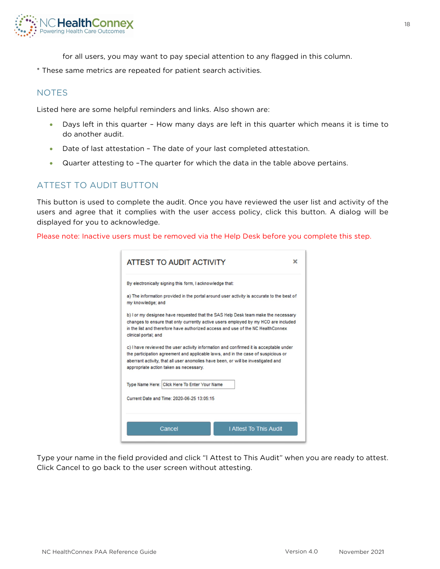

for all users, you may want to pay special attention to any flagged in this column.

\* These same metrics are repeated for patient search activities.

### **NOTES**

Listed here are some helpful reminders and links. Also shown are:

- Days left in this quarter How many days are left in this quarter which means it is time to do another audit.
- Date of last attestation The date of your last completed attestation.
- Quarter attesting to –The quarter for which the data in the table above pertains.

# ATTEST TO AUDIT BUTTON

This button is used to complete the audit. Once you have reviewed the user list and activity of the users and agree that it complies with the user access policy, click this button. A dialog will be displayed for you to acknowledge.

Please note: Inactive users must be removed via the Help Desk before you complete this step.

| ATTEST TO AUDIT ACTIVITY<br>×                                                                                                                                                                                                                                                                             |
|-----------------------------------------------------------------------------------------------------------------------------------------------------------------------------------------------------------------------------------------------------------------------------------------------------------|
| By electronically signing this form, I acknowledge that:                                                                                                                                                                                                                                                  |
| a) The information provided in the portal around user activity is accurate to the best of<br>my knowledge; and                                                                                                                                                                                            |
| b) I or my designee have requested that the SAS Help Desk team make the necessary<br>changes to ensure that only currently active users employed by my HCO are included<br>in the list and therefore have authorized access and use of the NC HealthConnex<br>clinical portal; and                        |
| c) I have reviewed the user activity information and confirmed it is acceptable under<br>the participation agreement and applicable laws, and in the case of suspicious or<br>aberrant activity, that all user anomolies have been, or will be investigated and<br>appropriate action taken as necessary. |
| Type Name Here: Click Here To Enter Your Name                                                                                                                                                                                                                                                             |
| Current Date and Time: 2020-06-25 13:05:15                                                                                                                                                                                                                                                                |
| I Attest To This Audit<br>Cancel                                                                                                                                                                                                                                                                          |

Type your name in the field provided and click "I Attest to This Audit" when you are ready to attest. Click Cancel to go back to the user screen without attesting.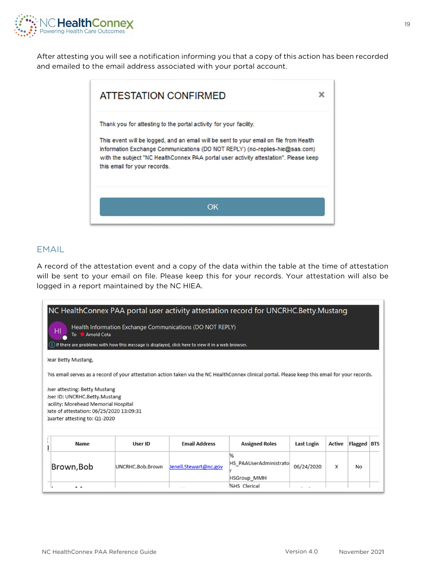

After attesting you will see a notification informing you that a copy of this action has been recorded and emailed to the email address associated with your portal account.

| ATTESTATION CONFIRMED                                                                                                                                                                               | × |
|-----------------------------------------------------------------------------------------------------------------------------------------------------------------------------------------------------|---|
| Thank you for attesting to the portal activity for your facility.<br>This event will be logged, and an email will be sent to your email on file from Health                                         |   |
| Information Exchange Communications (DO NOT REPLY) (no-replies-hie@sas.com)<br>with the subject "NC HealthConnex PAA portal user activity attestation". Please keep<br>this email for your records. |   |
| OK                                                                                                                                                                                                  |   |

### EMAIL

A record of the attestation event and a copy of the data within the table at the time of attestation will be sent to your email on file. Please keep this for your records. Your attestation will also be logged in a report maintained by the NC HIEA.

| NC HealthConnex PAA portal user activity attestation record for UNCRHC.Betty.Mustang<br>Health Information Exchange Communications (DO NOT REPLY)<br>HI<br><b>Arnold Cota</b><br>To<br>(i) If there are problems with how this message is displayed, click here to view it in a web browser.<br>Jear Betty Mustang, |                  |                       |                                                   |                   |               |             |  |  |  |  |  |
|---------------------------------------------------------------------------------------------------------------------------------------------------------------------------------------------------------------------------------------------------------------------------------------------------------------------|------------------|-----------------------|---------------------------------------------------|-------------------|---------------|-------------|--|--|--|--|--|
| his email serves as a record of your attestation action taken via the NC HealthConnex clinical portal. Please keep this email for your records.                                                                                                                                                                     |                  |                       |                                                   |                   |               |             |  |  |  |  |  |
| Jser attesting: Betty Mustang<br>Jser ID: UNCRHC.Betty.Mustang<br>acility: Morehead Memorial Hospital<br>)ate of attestation: 06/25/2020 13:09:31<br>Quarter attesting to: Q1-2020                                                                                                                                  |                  |                       |                                                   |                   |               |             |  |  |  |  |  |
| Name                                                                                                                                                                                                                                                                                                                | <b>User ID</b>   | <b>Email Address</b>  | <b>Assigned Roles</b>                             | <b>Last Login</b> | <b>Active</b> | Flagged BTS |  |  |  |  |  |
| Brown, Bob                                                                                                                                                                                                                                                                                                          | UNCRHC.Bob.Brown | Jenell.Stewart@nc.gov | %<br>HS PAAUserAdministrato<br><b>HSGroup MMH</b> | 06/24/2020        | X             | <b>No</b>   |  |  |  |  |  |
| . .                                                                                                                                                                                                                                                                                                                 |                  |                       | %HS Clerical                                      |                   |               |             |  |  |  |  |  |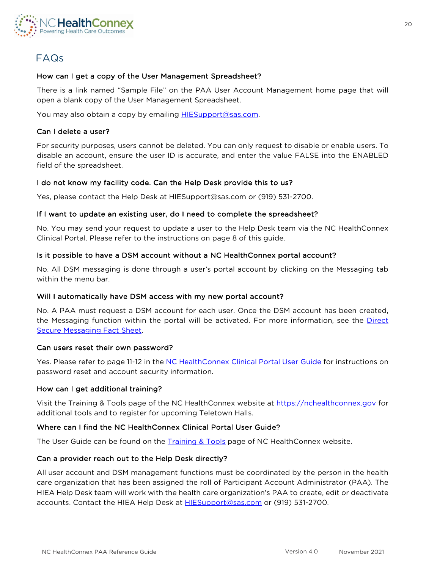

# <span id="page-19-0"></span>FAQs

### How can I get a copy of the User Management Spreadsheet?

There is a link named "Sample File" on the PAA User Account Management home page that will open a blank copy of the User Management Spreadsheet.

You may also obtain a copy by emailing **[HIESupport@sas.com.](mailto:HIESupport@sas.com)** 

#### Can I delete a user?

For security purposes, users cannot be deleted. You can only request to disable or enable users. To disable an account, ensure the user ID is accurate, and enter the value FALSE into the ENABLED field of the spreadsheet.

### I do not know my facility code. Can the Help Desk provide this to us?

Yes, please contact the Help Desk at [HIESupport@sas.com](mailto:HIESupport@sas.com) or (919) 531-2700.

#### If I want to update an existing user, do I need to complete the spreadsheet?

No. You may send your request to update a user to the Help Desk team via the NC HealthConnex Clinical Portal. Please refer to the instructions on page 8 of this guide.

### Is it possible to have a DSM account without a NC HealthConnex portal account?

No. All DSM messaging is done through a user's portal account by clicking on the Messaging tab within the menu bar.

#### Will I automatically have DSM access with my new portal account?

No. A PAA must request a DSM account for each user. Once the DSM account has been created, the Messaging function within the portal will be activated. For more information, see the Direct [Secure Messaging Fact Sheet.](https://hiea.nc.gov/documents/direct-secure-messaging-fact-sheet)

#### Can users reset their own password?

Yes. Please refer to page 11-12 in the [NC HealthConnex Clinical Portal User Guide](https://hiea.nc.gov/documents/nc-hiea-primary-provider-user-guide) for instructions on password reset and account security information.

### How can I get additional training?

Visit the [Training & Tools](https://hiea.nc.gov/providers/training-tools) page of the NC HealthConnex website at [https://nchealthconnex.gov](https://nchealthconnex.gov/) for additional tools and to register for upcoming Teletown Halls.

### Where can I find the NC HealthConnex Clinical Portal User Guide?

The User Guide can be found on the **Training & Tools** page of NC HealthConnex website.

### Can a provider reach out to the Help Desk directly?

All user account and DSM management functions must be coordinated by the person in the health care organization that has been assigned the roll of Participant Account Administrator (PAA). The HIEA Help Desk team will work with the health care organization's PAA to create, edit or deactivate accounts. Contact the HIEA Help Desk at [HIESupport@sas.com](mailto:HIESupport@sas.com) or (919) 531-2700.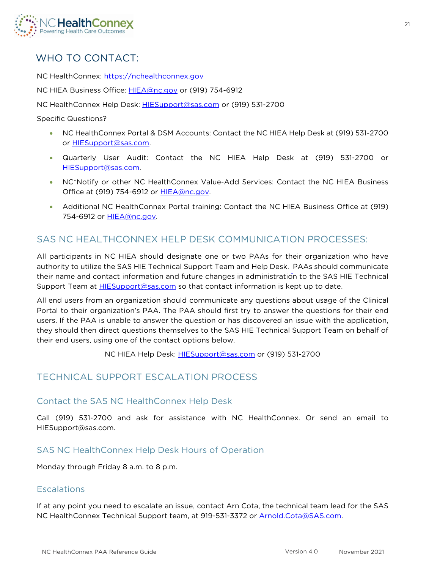

# <span id="page-20-0"></span>WHO TO CONTACT:

NC HealthConnex: [https://nchealthconnex.gov](https://nchealthconnex.gov/)

NC HIEA Business Office: [HIEA@nc.gov](mailto:HIEA@nc.gov) or (919) 754-6912

NC HealthConnex Help Desk: [HIESupport@sas.com](mailto:HIESupport@sas.com) or (919) 531-2700

Specific Questions?

- NC HealthConnex Portal & DSM Accounts: Contact the NC HIEA Help Desk at (919) 531-2700 or [HIESupport@sas.com.](mailto:HIESupport@sas.com)
- Quarterly User Audit: Contact the NC HIEA Help Desk at (919) 531-2700 or [HIESupport@sas.com.](mailto:HIESupport@sas.com)
- NC\*Notify or other NC HealthConnex Value-Add Services: Contact the NC HIEA Business Office at (919) 754-6912 or **HIEA@nc.gov.**
- Additional NC HealthConnex Portal training: Contact the NC HIEA Business Office at (919) 754-6912 or **HIEA@nc.gov.**

# <span id="page-20-1"></span>SAS NC HEALTHCONNEX HELP DESK COMMUNICATION PROCESSES:

All participants in NC HIEA should designate one or two PAAs for their organization who have authority to utilize the SAS HIE Technical Support Team and Help Desk. PAAs should communicate their name and contact information and future changes in administration to the SAS HIE Technical Support Team at **HIESupport@sas.com** so that contact information is kept up to date.

All end users from an organization should communicate any questions about usage of the Clinical Portal to their organization's PAA. The PAA should first try to answer the questions for their end users. If the PAA is unable to answer the question or has discovered an issue with the application, they should then direct questions themselves to the SAS HIE Technical Support Team on behalf of their end users, using one of the contact options below.

NC HIEA Help Desk: [HIESupport@sas.com](mailto:HIESupport@sas.com) or (919) 531-2700

### <span id="page-20-2"></span>TECHNICAL SUPPORT ESCALATION PROCESS

### Contact the SAS NC HealthConnex Help Desk

Call (919) 531-2700 and ask for assistance with NC HealthConnex. Or send an email to [HIESupport@sas.com.](mailto:HIESupport@sas.com) 

### SAS NC HealthConnex Help Desk Hours of Operation

Monday through Friday 8 a.m. to 8 p.m.

### Escalations

If at any point you need to escalate an issue, contact Arn Cota, the technical team lead for the SAS NC HealthConnex Technical Support team, at 919-531-3372 or [Arnold.Cota@SAS.com.](mailto:Arnold.Cota@SAS.com)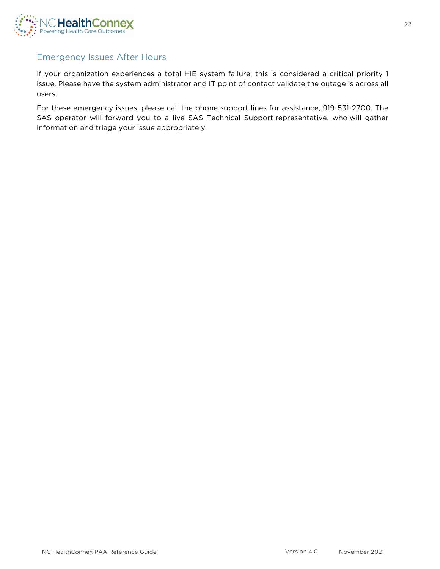

### Emergency Issues After Hours

If your organization experiences a total HIE system failure, this is considered a critical priority 1 issue. Please have the system administrator and IT point of contact validate the outage is across all users.

For these emergency issues, please call the phone support lines for assistance, 919-531-2700. The SAS operator will forward you to a live SAS Technical Support representative, who will gather information and triage your issue appropriately.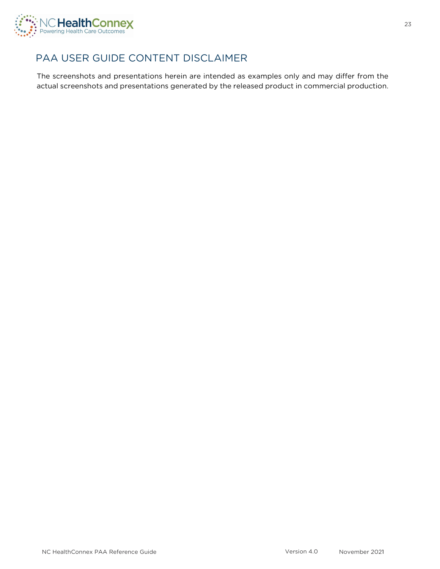

# <span id="page-22-0"></span>PAA USER GUIDE CONTENT DISCLAIMER

The screenshots and presentations herein are intended as examples only and may differ from the actual screenshots and presentations generated by the released product in commercial production.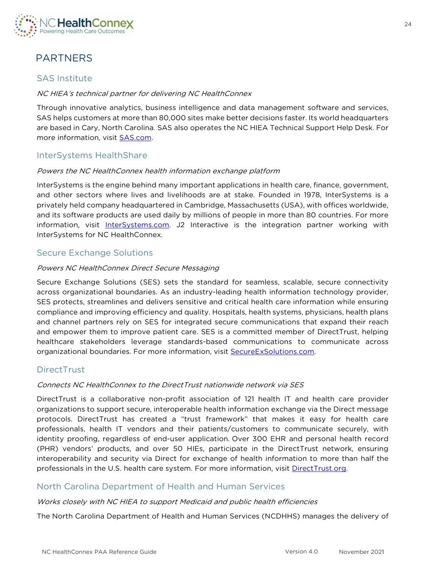

# <span id="page-23-0"></span>PARTNERS

## SAS Institute

### NC HIEA's technical partner for delivering NC HealthConnex

Through innovative analytics, business intelligence and data management software and services, SAS helps customers at more than 80,000 sites make better decisions faster. Its world headquarters are based in Cary, North Carolina. SAS also operates the NC HIEA Technical Support Help Desk. For more information, visit **SAS.com.** 

### InterSystems HealthShare

### Powers the NC HealthConnex health information exchange platform

InterSystems is the engine behind many important applications in health care, finance, government, and other sectors where lives and livelihoods are at stake. Founded in 1978, InterSystems is a privately held company headquartered in Cambridge, Massachusetts (USA), with offices worldwide, and its software products are used daily by millions of people in more than 80 countries. For more information, visit [InterSystems.com.](http://www.intersystems.com/) J2 Interactive is the integration partner working with InterSystems for NC HealthConnex.

### Secure Exchange Solutions

### Powers NC HealthConnex Direct Secure Messaging

Secure Exchange Solutions (SES) sets the standard for seamless, scalable, secure connectivity across organizational boundaries. As an industry-leading health information technology provider, SES protects, streamlines and delivers sensitive and critical health care information while ensuring compliance and improving efficiency and quality. Hospitals, health systems, physicians, health plans and channel partners rely on SES for integrated secure communications that expand their reach and empower them to improve patient care. SES is a committed member of DirectTrust, helping healthcare stakeholders leverage standards-based communications to communicate across organizational boundaries. For more information, visit [SecureExSolutions.com.](https://secureexsolutions.com/)

### **DirectTrust**

### Connects NC HealthConnex to the DirectTrust nationwide network via SES

DirectTrust is a collaborative non-profit association of 121 health IT and health care provider organizations to support secure, interoperable health information exchange via the Direct message protocols. DirectTrust has created a "trust framework" that makes it easy for health care professionals, health IT vendors and their patients/customers to communicate securely, with identity proofing, regardless of end-user application. Over 300 EHR and personal health record (PHR) vendors' products, and over 50 HIEs, participate in the DirectTrust network, ensuring interoperability and security via Direct for exchange of health information to more than half the professionals in the U.S. health care system. For more information, visit [DirectTrust.org.](https://www.directtrust.org/)

### North Carolina Department of Health and Human Services

### Works closely with NC HIEA to support Medicaid and public health efficiencies

The North Carolina Department of Health and Human Services (NCDHHS) manages the delivery of